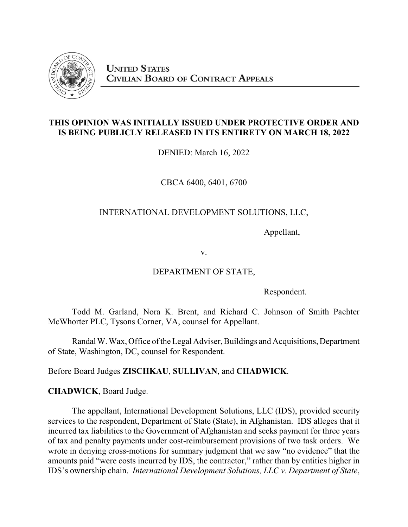

# **THIS OPINION WAS INITIALLY ISSUED UNDER PROTECTIVE ORDER AND IS BEING PUBLICLY RELEASED IN ITS ENTIRETY ON MARCH 18, 2022**

DENIED: March 16, 2022

CBCA 6400, 6401, 6700

# INTERNATIONAL DEVELOPMENT SOLUTIONS, LLC,

Appellant,

v.

## DEPARTMENT OF STATE,

Respondent.

Todd M. Garland, Nora K. Brent, and Richard C. Johnson of Smith Pachter McWhorter PLC, Tysons Corner, VA, counsel for Appellant.

Randal W. Wax, Office of the Legal Adviser, Buildings and Acquisitions, Department of State, Washington, DC, counsel for Respondent.

Before Board Judges **ZISCHKAU**, **SULLIVAN**, and **CHADWICK**.

**CHADWICK**, Board Judge.

The appellant, International Development Solutions, LLC (IDS), provided security services to the respondent, Department of State (State), in Afghanistan. IDS alleges that it incurred tax liabilities to the Government of Afghanistan and seeks payment for three years of tax and penalty payments under cost-reimbursement provisions of two task orders. We wrote in denying cross-motions for summary judgment that we saw "no evidence" that the amounts paid "were costs incurred by IDS, the contractor," rather than by entities higher in IDS's ownership chain. *International Development Solutions, LLC v. Department of State*,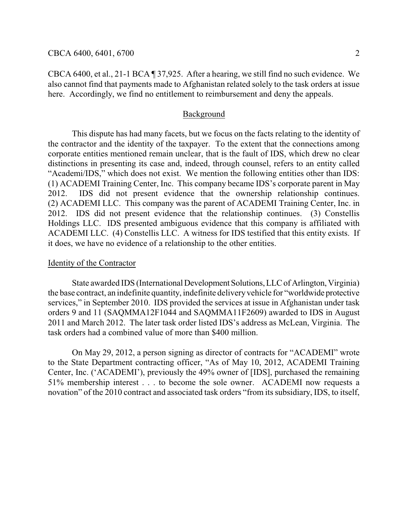CBCA 6400, et al., 21-1 BCA ¶ 37,925. After a hearing, we still find no such evidence. We also cannot find that payments made to Afghanistan related solely to the task orders at issue here. Accordingly, we find no entitlement to reimbursement and deny the appeals.

## Background

This dispute has had many facets, but we focus on the facts relating to the identity of the contractor and the identity of the taxpayer. To the extent that the connections among corporate entities mentioned remain unclear, that is the fault of IDS, which drew no clear distinctions in presenting its case and, indeed, through counsel, refers to an entity called "Academi/IDS," which does not exist. We mention the following entities other than IDS: (1) ACADEMI Training Center, Inc. This company became IDS's corporate parent in May 2012. IDS did not present evidence that the ownership relationship continues. (2) ACADEMI LLC. This company was the parent of ACADEMI Training Center, Inc. in 2012. IDS did not present evidence that the relationship continues. (3) Constellis Holdings LLC. IDS presented ambiguous evidence that this company is affiliated with ACADEMI LLC. (4) Constellis LLC. A witness for IDS testified that this entity exists. If it does, we have no evidence of a relationship to the other entities.

#### Identity of the Contractor

State awarded IDS (International Development Solutions, LLC of Arlington, Virginia) the base contract, an indefinite quantity, indefinite deliveryvehicle for "worldwide protective services," in September 2010. IDS provided the services at issue in Afghanistan under task orders 9 and 11 (SAQMMA12F1044 and SAQMMA11F2609) awarded to IDS in August 2011 and March 2012. The later task order listed IDS's address as McLean, Virginia. The task orders had a combined value of more than \$400 million.

On May 29, 2012, a person signing as director of contracts for "ACADEMI" wrote to the State Department contracting officer, "As of May 10, 2012, ACADEMI Training Center, Inc. ('ACADEMI'), previously the 49% owner of [IDS], purchased the remaining 51% membership interest . . . to become the sole owner. ACADEMI now requests a novation" of the 2010 contract and associated task orders "from its subsidiary, IDS, to itself,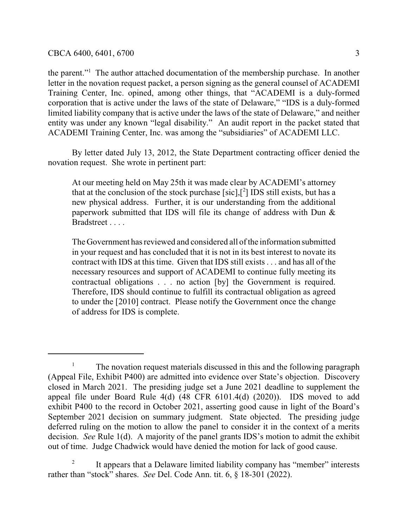the parent."<sup>1</sup> The author attached documentation of the membership purchase. In another letter in the novation request packet, a person signing as the general counsel of ACADEMI Training Center, Inc. opined, among other things, that "ACADEMI is a duly-formed corporation that is active under the laws of the state of Delaware," "IDS is a duly-formed limited liability company that is active under the laws of the state of Delaware," and neither entity was under any known "legal disability." An audit report in the packet stated that ACADEMI Training Center, Inc. was among the "subsidiaries" of ACADEMI LLC.

By letter dated July 13, 2012, the State Department contracting officer denied the novation request. She wrote in pertinent part:

At our meeting held on May 25th it was made clear by ACADEMI's attorney that at the conclusion of the stock purchase  $[sic]$ ,  $[^2]$  IDS still exists, but has a new physical address. Further, it is our understanding from the additional paperwork submitted that IDS will file its change of address with Dun & Bradstreet . . . .

The Government has reviewed and considered all ofthe information submitted in your request and has concluded that it is not in its best interest to novate its contract with IDS at this time. Given that IDS still exists . . . and has all of the necessary resources and support of ACADEMI to continue fully meeting its contractual obligations . . . no action [by] the Government is required. Therefore, IDS should continue to fulfill its contractual obligation as agreed to under the [2010] contract. Please notify the Government once the change of address for IDS is complete.

<sup>&</sup>lt;sup>1</sup> The novation request materials discussed in this and the following paragraph (Appeal File, Exhibit P400) are admitted into evidence over State's objection. Discovery closed in March 2021. The presiding judge set a June 2021 deadline to supplement the appeal file under Board Rule 4(d) (48 CFR 6101.4(d) (2020)). IDS moved to add exhibit P400 to the record in October 2021, asserting good cause in light of the Board's September 2021 decision on summary judgment. State objected. The presiding judge deferred ruling on the motion to allow the panel to consider it in the context of a merits decision. *See* Rule 1(d). A majority of the panel grants IDS's motion to admit the exhibit out of time. Judge Chadwick would have denied the motion for lack of good cause.

<sup>2</sup> It appears that a Delaware limited liability company has "member" interests rather than "stock" shares. *See* Del. Code Ann. tit. 6, § 18-301 (2022).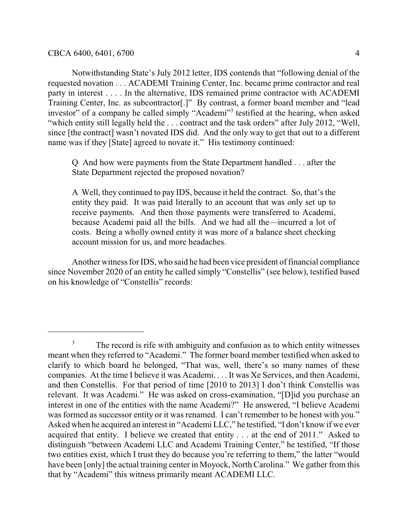Notwithstanding State's July 2012 letter, IDS contends that "following denial of the requested novation . . . ACADEMI Training Center, Inc. became prime contractor and real party in interest . . . . In the alternative, IDS remained prime contractor with ACADEMI Training Center, Inc. as subcontractor[.]" By contrast, a former board member and "lead investor" of a company he called simply "Academi"<sup>3</sup> testified at the hearing, when asked "which entity still legally held the . . . contract and the task orders" after July 2012, "Well, since [the contract] wasn't novated IDS did. And the only way to get that out to a different name was if they [State] agreed to novate it." His testimony continued:

Q And how were payments from the State Department handled . . . after the State Department rejected the proposed novation?

A Well, they continued to pay IDS, because it held the contract. So, that's the entity they paid. It was paid literally to an account that was only set up to receive payments. And then those payments were transferred to Academi, because Academi paid all the bills. And we had all the—incurred a lot of costs. Being a wholly owned entity it was more of a balance sheet checking account mission for us, and more headaches.

Another witness for IDS, who said he had been vice president of financial compliance since November 2020 of an entity he called simply "Constellis" (see below), testified based on his knowledge of "Constellis" records:

<sup>&</sup>lt;sup>3</sup> The record is rife with ambiguity and confusion as to which entity witnesses meant when they referred to "Academi." The former board member testified when asked to clarify to which board he belonged, "That was, well, there's so many names of these companies. At the time I believe it was Academi. . . . It was Xe Services, and then Academi, and then Constellis. For that period of time [2010 to 2013] I don't think Constellis was relevant. It was Academi." He was asked on cross-examination, "[D]id you purchase an interest in one of the entities with the name Academi?" He answered, "I believe Academi was formed as successor entity or it was renamed. I can't remember to be honest with you." Asked when he acquired an interest in "Academi LLC," he testified, "I don't know if we ever acquired that entity. I believe we created that entity . . . at the end of 2011." Asked to distinguish "between Academi LLC and Academi Training Center," he testified, "If those two entities exist, which I trust they do because you're referring to them," the latter "would have been [only] the actual training center in Moyock, North Carolina." We gather from this that by "Academi" this witness primarily meant ACADEMI LLC.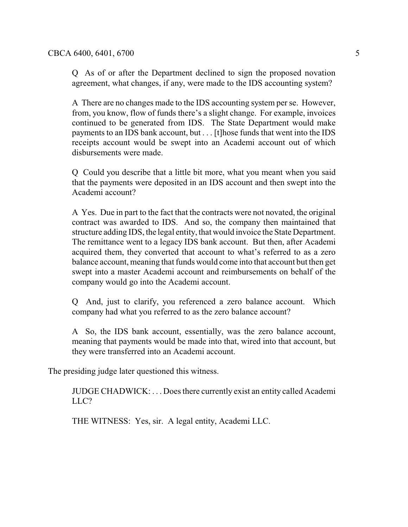Q As of or after the Department declined to sign the proposed novation agreement, what changes, if any, were made to the IDS accounting system?

A There are no changes made to the IDS accounting system per se. However, from, you know, flow of funds there's a slight change. For example, invoices continued to be generated from IDS. The State Department would make payments to an IDS bank account, but . . . [t]hose funds that went into the IDS receipts account would be swept into an Academi account out of which disbursements were made.

Q Could you describe that a little bit more, what you meant when you said that the payments were deposited in an IDS account and then swept into the Academi account?

A Yes. Due in part to the fact that the contracts were not novated, the original contract was awarded to IDS. And so, the company then maintained that structure adding IDS, the legal entity, that would invoice the State Department. The remittance went to a legacy IDS bank account. But then, after Academi acquired them, they converted that account to what's referred to as a zero balance account, meaning that funds would come into that account but then get swept into a master Academi account and reimbursements on behalf of the company would go into the Academi account.

Q And, just to clarify, you referenced a zero balance account. Which company had what you referred to as the zero balance account?

A So, the IDS bank account, essentially, was the zero balance account, meaning that payments would be made into that, wired into that account, but they were transferred into an Academi account.

The presiding judge later questioned this witness.

JUDGE CHADWICK: . . . Does there currently exist an entity called Academi LLC?

THE WITNESS: Yes, sir. A legal entity, Academi LLC.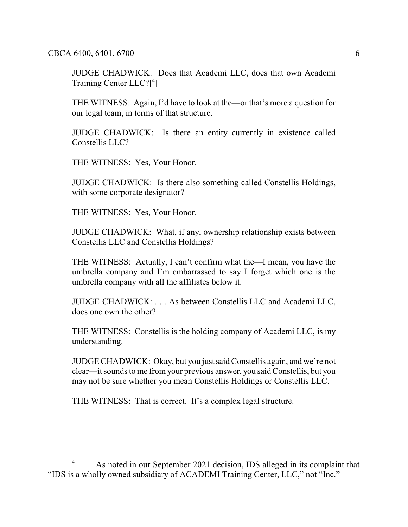CBCA 6400, 6401, 6700 6

JUDGE CHADWICK: Does that Academi LLC, does that own Academi Training Center LLC?[ 4 ]

THE WITNESS: Again, I'd have to look at the—or that's more a question for our legal team, in terms of that structure.

JUDGE CHADWICK: Is there an entity currently in existence called Constellis LLC?

THE WITNESS: Yes, Your Honor.

JUDGE CHADWICK: Is there also something called Constellis Holdings, with some corporate designator?

THE WITNESS: Yes, Your Honor.

JUDGE CHADWICK: What, if any, ownership relationship exists between Constellis LLC and Constellis Holdings?

THE WITNESS: Actually, I can't confirm what the—I mean, you have the umbrella company and I'm embarrassed to say I forget which one is the umbrella company with all the affiliates below it.

JUDGE CHADWICK: . . . As between Constellis LLC and Academi LLC, does one own the other?

THE WITNESS: Constellis is the holding company of Academi LLC, is my understanding.

JUDGE CHADWICK: Okay, but you just said Constellis again, and we're not clear—it sounds to me from your previous answer, you said Constellis, but you may not be sure whether you mean Constellis Holdings or Constellis LLC.

THE WITNESS: That is correct. It's a complex legal structure.

<sup>&</sup>lt;sup>4</sup> As noted in our September 2021 decision, IDS alleged in its complaint that "IDS is a wholly owned subsidiary of ACADEMI Training Center, LLC," not "Inc."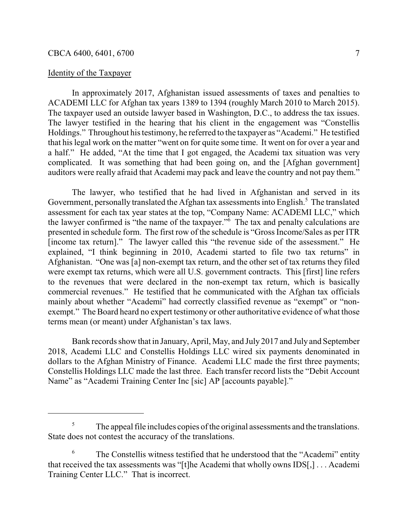## Identity of the Taxpayer

In approximately 2017, Afghanistan issued assessments of taxes and penalties to ACADEMI LLC for Afghan tax years 1389 to 1394 (roughly March 2010 to March 2015). The taxpayer used an outside lawyer based in Washington, D.C., to address the tax issues. The lawyer testified in the hearing that his client in the engagement was "Constellis Holdings." Throughout his testimony, he referred to the taxpayer as "Academi." He testified that his legal work on the matter "went on for quite some time. It went on for over a year and a half." He added, "At the time that I got engaged, the Academi tax situation was very complicated. It was something that had been going on, and the [Afghan government] auditors were really afraid that Academi may pack and leave the country and not pay them."

The lawyer, who testified that he had lived in Afghanistan and served in its Government, personally translated the Afghan tax assessments into English.<sup>5</sup> The translated assessment for each tax year states at the top, "Company Name: ACADEMI LLC," which the lawyer confirmed is "the name of the taxpayer."<sup>6</sup> The tax and penalty calculations are presented in schedule form. The first row of the schedule is "Gross Income/Sales as per ITR [income tax return]." The lawyer called this "the revenue side of the assessment." He explained, "I think beginning in 2010, Academi started to file two tax returns" in Afghanistan. "One was [a] non-exempt tax return, and the other set of tax returns they filed were exempt tax returns, which were all U.S. government contracts. This [first] line refers to the revenues that were declared in the non-exempt tax return, which is basically commercial revenues." He testified that he communicated with the Afghan tax officials mainly about whether "Academi" had correctly classified revenue as "exempt" or "nonexempt." The Board heard no expert testimony or other authoritative evidence of what those terms mean (or meant) under Afghanistan's tax laws.

Bank records show that in January, April, May, and July 2017 and July and September 2018, Academi LLC and Constellis Holdings LLC wired six payments denominated in dollars to the Afghan Ministry of Finance. Academi LLC made the first three payments; Constellis Holdings LLC made the last three. Each transfer record lists the "Debit Account Name" as "Academi Training Center Inc [sic] AP [accounts payable]."

 $5<sup>5</sup>$  The appeal file includes copies of the original assessments and the translations. State does not contest the accuracy of the translations.

<sup>6</sup> The Constellis witness testified that he understood that the "Academi" entity that received the tax assessments was "[t]he Academi that wholly owns IDS[,] . . . Academi Training Center LLC." That is incorrect.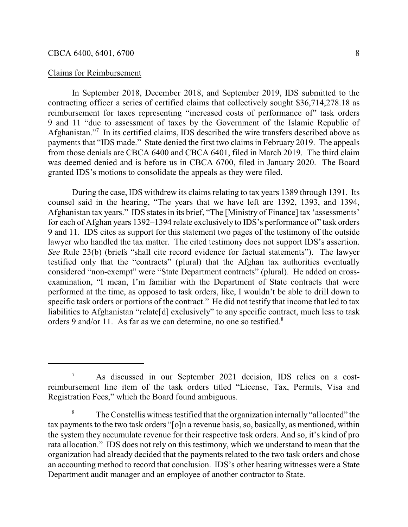## Claims for Reimbursement

In September 2018, December 2018, and September 2019, IDS submitted to the contracting officer a series of certified claims that collectively sought \$36,714,278.18 as reimbursement for taxes representing "increased costs of performance of" task orders 9 and 11 "due to assessment of taxes by the Government of the Islamic Republic of Afghanistan."<sup>7</sup> In its certified claims, IDS described the wire transfers described above as payments that "IDS made." State denied the first two claims in February 2019. The appeals from those denials are CBCA 6400 and CBCA 6401, filed in March 2019. The third claim was deemed denied and is before us in CBCA 6700, filed in January 2020. The Board granted IDS's motions to consolidate the appeals as they were filed.

During the case, IDS withdrew its claims relating to tax years 1389 through 1391. Its counsel said in the hearing, "The years that we have left are 1392, 1393, and 1394, Afghanistan tax years." IDS states in its brief, "The [Ministry of Finance] tax 'assessments' for each of Afghan years 1392–1394 relate exclusively to IDS's performance of" task orders 9 and 11. IDS cites as support for this statement two pages of the testimony of the outside lawyer who handled the tax matter. The cited testimony does not support IDS's assertion. *See* Rule 23(b) (briefs "shall cite record evidence for factual statements"). The lawyer testified only that the "contracts" (plural) that the Afghan tax authorities eventually considered "non-exempt" were "State Department contracts" (plural). He added on crossexamination, "I mean, I'm familiar with the Department of State contracts that were performed at the time, as opposed to task orders, like, I wouldn't be able to drill down to specific task orders or portions of the contract." He did not testify that income that led to tax liabilities to Afghanistan "relate[d] exclusively" to any specific contract, much less to task orders 9 and/or 11. As far as we can determine, no one so testified.<sup>8</sup>

<sup>&</sup>lt;sup>7</sup> As discussed in our September 2021 decision, IDS relies on a costreimbursement line item of the task orders titled "License, Tax, Permits, Visa and Registration Fees," which the Board found ambiguous.

<sup>&</sup>lt;sup>8</sup> The Constellis witness testified that the organization internally "allocated" the tax payments to the two task orders "[o]n a revenue basis, so, basically, as mentioned, within the system they accumulate revenue for their respective task orders. And so, it's kind of pro rata allocation." IDS does not rely on this testimony, which we understand to mean that the organization had already decided that the payments related to the two task orders and chose an accounting method to record that conclusion. IDS's other hearing witnesses were a State Department audit manager and an employee of another contractor to State.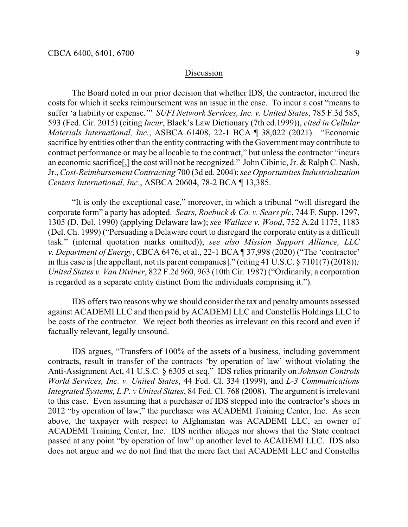## Discussion

The Board noted in our prior decision that whether IDS, the contractor, incurred the costs for which it seeks reimbursement was an issue in the case. To incur a cost "means to suffer 'a liability or expense.'" *SUFI Network Services, Inc. v. United States*, 785 F.3d 585, 593 (Fed. Cir. 2015) (citing *Incur*, Black's Law Dictionary (7th ed.1999)), *cited in Cellular Materials International, Inc.*, ASBCA 61408, 22-1 BCA ¶ 38,022 (2021). "Economic sacrifice by entities other than the entity contracting with the Government may contribute to contract performance or may be allocable to the contract," but unless the contractor "incurs an economic sacrifice[,] the cost will not be recognized." John Cibinic, Jr. & Ralph C. Nash, Jr., *Cost-Reimbursement Contracting* 700 (3d ed. 2004); *see OpportunitiesIndustrialization Centers International, Inc*., ASBCA 20604, 78-2 BCA ¶ 13,385.

"It is only the exceptional case," moreover, in which a tribunal "will disregard the corporate form" a party has adopted. *Sears, Roebuck & Co. v. Sears plc*, 744 F. Supp. 1297, 1305 (D. Del. 1990) (applying Delaware law); *see Wallace v. Wood*, 752 A.2d 1175, 1183 (Del. Ch. 1999) ("Persuading a Delaware court to disregard the corporate entity is a difficult task." (internal quotation marks omitted)); *see also Mission Support Alliance, LLC v. Department of Energy*, CBCA 6476, et al., 22-1 BCA ¶ 37,998 (2020) ("The 'contractor' in this case is [the appellant, not its parent companies]." (citing 41 U.S.C. § 7101(7) (2018))*; United States v. Van Diviner*, 822 F.2d 960, 963 (10th Cir. 1987) ("Ordinarily, a corporation is regarded as a separate entity distinct from the individuals comprising it.").

IDS offers two reasons why we should consider the tax and penalty amounts assessed against ACADEMI LLC and then paid by ACADEMI LLC and Constellis Holdings LLC to be costs of the contractor. We reject both theories as irrelevant on this record and even if factually relevant, legally unsound.

IDS argues, "Transfers of 100% of the assets of a business, including government contracts, result in transfer of the contracts 'by operation of law' without violating the Anti-Assignment Act, 41 U.S.C. § 6305 et seq." IDS relies primarily on *Johnson Controls World Services, Inc. v. United States*, 44 Fed. Cl. 334 (1999), and *L-3 Communications Integrated Systems, L.P. v United States*, 84 Fed. Cl. 768 (2008). The argument is irrelevant to this case. Even assuming that a purchaser of IDS stepped into the contractor's shoes in 2012 "by operation of law," the purchaser was ACADEMI Training Center, Inc. As seen above, the taxpayer with respect to Afghanistan was ACADEMI LLC, an owner of ACADEMI Training Center, Inc. IDS neither alleges nor shows that the State contract passed at any point "by operation of law" up another level to ACADEMI LLC. IDS also does not argue and we do not find that the mere fact that ACADEMI LLC and Constellis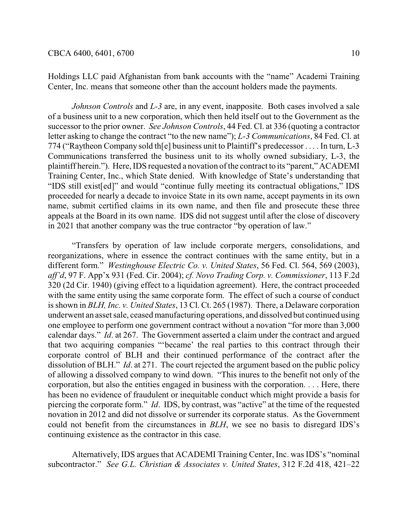Holdings LLC paid Afghanistan from bank accounts with the "name" Academi Training Center, Inc. means that someone other than the account holders made the payments.

*Johnson Controls* and *L-3* are, in any event, inapposite. Both cases involved a sale of a business unit to a new corporation, which then held itself out to the Government as the successor to the prior owner. *See Johnson Controls*, 44 Fed. Cl. at 336 (quoting a contractor letter asking to change the contract "to the new name"); *L-3 Communications*, 84 Fed. Cl. at 774 ("Raytheon Company sold th[e] business unit to Plaintiff's predecessor . . . . In turn, L-3 Communications transferred the business unit to its wholly owned subsidiary, L-3, the plaintiff herein."). Here, IDS requested a novation of the contract to its "parent," ACADEMI Training Center, Inc., which State denied. With knowledge of State's understanding that "IDS still exist[ed]" and would "continue fully meeting its contractual obligations," IDS proceeded for nearly a decade to invoice State in its own name, accept payments in its own name, submit certified claims in its own name, and then file and prosecute these three appeals at the Board in its own name. IDS did not suggest until after the close of discovery in 2021 that another company was the true contractor "by operation of law."

"Transfers by operation of law include corporate mergers, consolidations, and reorganizations, where in essence the contract continues with the same entity, but in a different form." *Westinghouse Electric Co. v. United States*, 56 Fed. Cl. 564, 569 (2003), *aff'd*, 97 F. App'x 931 (Fed. Cir. 2004); *cf. Novo Trading Corp. v. Commissioner*, 113 F.2d 320 (2d Cir. 1940) (giving effect to a liquidation agreement). Here, the contract proceeded with the same entity using the same corporate form. The effect of such a course of conduct is shown in *BLH, Inc. v. United States*, 13 Cl. Ct. 265 (1987). There, a Delaware corporation underwent an asset sale, ceased manufacturing operations, and dissolved but continued using one employee to perform one government contract without a novation "for more than 3,000 calendar days." *Id*. at 267. The Government asserted a claim under the contract and argued that two acquiring companies "'became' the real parties to this contract through their corporate control of BLH and their continued performance of the contract after the dissolution of BLH." *Id*. at 271. The court rejected the argument based on the public policy of allowing a dissolved company to wind down. "This inures to the benefit not only of the corporation, but also the entities engaged in business with the corporation. . . . Here, there has been no evidence of fraudulent or inequitable conduct which might provide a basis for piercing the corporate form." *Id*. IDS, by contrast, was "active" at the time of the requested novation in 2012 and did not dissolve or surrender its corporate status. As the Government could not benefit from the circumstances in *BLH*, we see no basis to disregard IDS's continuing existence as the contractor in this case.

Alternatively, IDS argues that ACADEMI Training Center, Inc. was IDS's "nominal subcontractor." *See G.L. Christian & Associates v. United States*, 312 F.2d 418, 421–22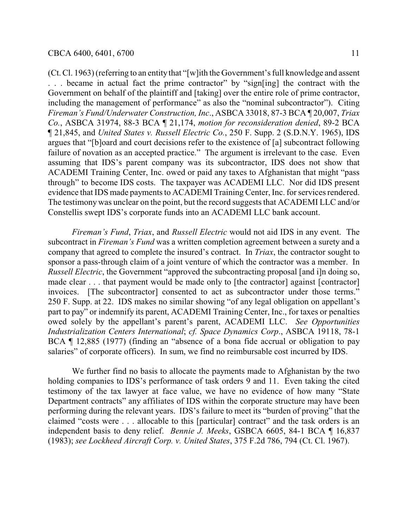(Ct. Cl. 1963) (referring to an entity that "[w]ith the Government's full knowledge and assent . . . became in actual fact the prime contractor" by "sign[ing] the contract with the Government on behalf of the plaintiff and [taking] over the entire role of prime contractor, including the management of performance" as also the "nominal subcontractor"). Citing *Fireman's Fund/Underwater Construction, Inc*., ASBCA 33018, 87-3 BCA ¶ 20,007, *Triax Co.*, ASBCA 31974, 88-3 BCA ¶ 21,174, *motion for reconsideration denied*, 89-2 BCA ¶ 21,845, and *United States v. Russell Electric Co.*, 250 F. Supp. 2 (S.D.N.Y. 1965), IDS argues that "[b]oard and court decisions refer to the existence of [a] subcontract following failure of novation as an accepted practice." The argument is irrelevant to the case. Even assuming that IDS's parent company was its subcontractor, IDS does not show that ACADEMI Training Center, Inc. owed or paid any taxes to Afghanistan that might "pass through" to become IDS costs. The taxpayer was ACADEMI LLC. Nor did IDS present evidence that IDS made payments to ACADEMI Training Center, Inc. for services rendered. The testimony was unclear on the point, but the record suggests that ACADEMI LLC and/or Constellis swept IDS's corporate funds into an ACADEMI LLC bank account.

*Fireman's Fund*, *Triax*, and *Russell Electric* would not aid IDS in any event. The subcontract in *Fireman's Fund* was a written completion agreement between a surety and a company that agreed to complete the insured's contract. In *Triax*, the contractor sought to sponsor a pass-through claim of a joint venture of which the contractor was a member. In *Russell Electric*, the Government "approved the subcontracting proposal [and i]n doing so, made clear . . . that payment would be made only to [the contractor] against [contractor] invoices. [The subcontractor] consented to act as subcontractor under those terms." 250 F. Supp. at 22. IDS makes no similar showing "of any legal obligation on appellant's part to pay" or indemnify its parent, ACADEMI Training Center, Inc., for taxes or penalties owed solely by the appellant's parent's parent, ACADEMI LLC. *See Opportunities Industrialization Centers International*; *cf. Space Dynamics Corp*., ASBCA 19118, 78-1 BCA ¶ 12,885 (1977) (finding an "absence of a bona fide accrual or obligation to pay salaries" of corporate officers). In sum, we find no reimbursable cost incurred by IDS.

We further find no basis to allocate the payments made to Afghanistan by the two holding companies to IDS's performance of task orders 9 and 11. Even taking the cited testimony of the tax lawyer at face value, we have no evidence of how many "State Department contracts" any affiliates of IDS within the corporate structure may have been performing during the relevant years. IDS's failure to meet its "burden of proving" that the claimed "costs were . . . allocable to this [particular] contract" and the task orders is an independent basis to deny relief. *Bennie J. Meeks*, GSBCA 6605, 84-1 BCA ¶ 16,837 (1983); *see Lockheed Aircraft Corp. v. United States*, 375 F.2d 786, 794 (Ct. Cl. 1967).